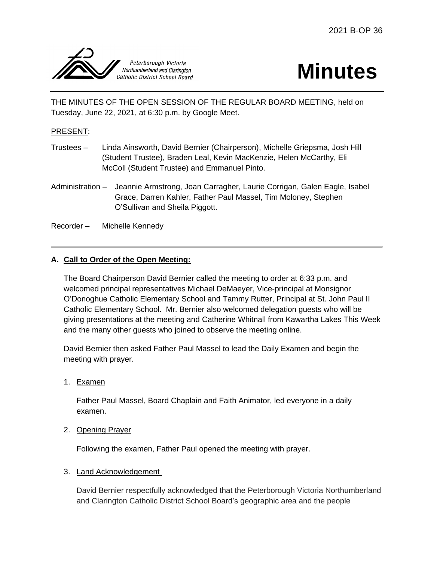

# **Minutes**

THE MINUTES OF THE OPEN SESSION OF THE REGULAR BOARD MEETING, held on Tuesday, June 22, 2021, at 6:30 p.m. by Google Meet.

## PRESENT:

- Trustees Linda Ainsworth, David Bernier (Chairperson), Michelle Griepsma, Josh Hill (Student Trustee), Braden Leal, Kevin MacKenzie, Helen McCarthy, Eli McColl (Student Trustee) and Emmanuel Pinto.
- Administration Jeannie Armstrong, Joan Carragher, Laurie Corrigan, Galen Eagle, Isabel Grace, Darren Kahler, Father Paul Massel, Tim Moloney, Stephen O'Sullivan and Sheila Piggott.
- Recorder Michelle Kennedy

## **A. Call to Order of the Open Meeting:**

The Board Chairperson David Bernier called the meeting to order at 6:33 p.m. and welcomed principal representatives Michael DeMaeyer, Vice-principal at Monsignor O'Donoghue Catholic Elementary School and Tammy Rutter, Principal at St. John Paul II Catholic Elementary School. Mr. Bernier also welcomed delegation guests who will be giving presentations at the meeting and Catherine Whitnall from Kawartha Lakes This Week and the many other guests who joined to observe the meeting online.

David Bernier then asked Father Paul Massel to lead the Daily Examen and begin the meeting with prayer.

1. Examen

Father Paul Massel, Board Chaplain and Faith Animator, led everyone in a daily examen.

2. Opening Prayer

Following the examen, Father Paul opened the meeting with prayer.

## 3. Land Acknowledgement

David Bernier respectfully acknowledged that the Peterborough Victoria Northumberland and Clarington Catholic District School Board's geographic area and the people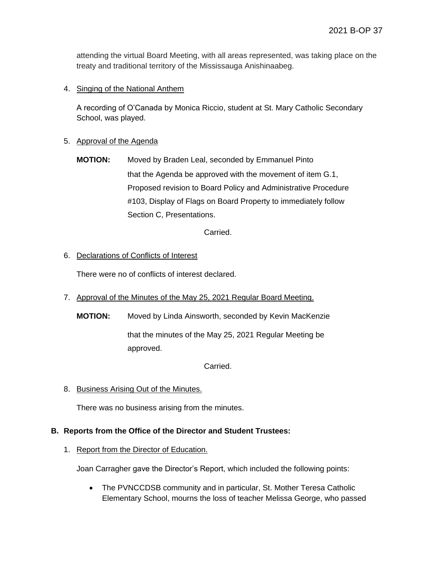attending the virtual Board Meeting, with all areas represented, was taking place on the treaty and traditional territory of the Mississauga Anishinaabeg.

## 4. Singing of the National Anthem

A recording of O'Canada by Monica Riccio, student at St. Mary Catholic Secondary School, was played.

#### 5. Approval of the Agenda

**MOTION:** Moved by Braden Leal, seconded by Emmanuel Pinto that the Agenda be approved with the movement of item G.1, Proposed revision to Board Policy and Administrative Procedure #103, Display of Flags on Board Property to immediately follow Section C, Presentations.

Carried.

## 6. Declarations of Conflicts of Interest

There were no of conflicts of interest declared.

- 7. Approval of the Minutes of the May 25, 2021 Regular Board Meeting.
	- **MOTION:** Moved by Linda Ainsworth, seconded by Kevin MacKenzie that the minutes of the May 25, 2021 Regular Meeting be

Carried.

8. Business Arising Out of the Minutes.

approved.

There was no business arising from the minutes.

#### **B. Reports from the Office of the Director and Student Trustees:**

#### 1. Report from the Director of Education.

Joan Carragher gave the Director's Report, which included the following points:

• The PVNCCDSB community and in particular, St. Mother Teresa Catholic Elementary School, mourns the loss of teacher Melissa George, who passed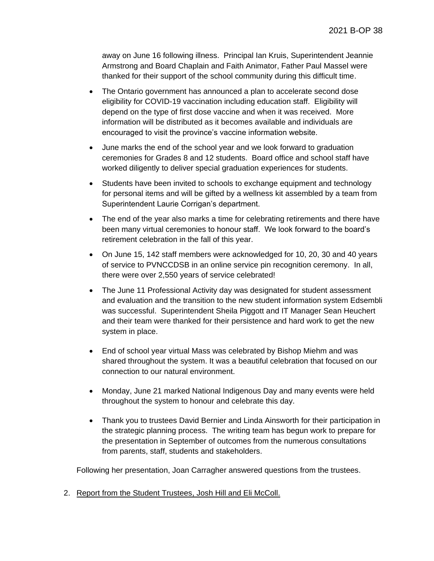away on June 16 following illness. Principal Ian Kruis, Superintendent Jeannie Armstrong and Board Chaplain and Faith Animator, Father Paul Massel were thanked for their support of the school community during this difficult time.

- The Ontario government has announced a plan to accelerate second dose eligibility for COVID-19 vaccination including education staff. Eligibility will depend on the type of first dose vaccine and when it was received. More information will be distributed as it becomes available and individuals are encouraged to visit the province's vaccine information website.
- June marks the end of the school year and we look forward to graduation ceremonies for Grades 8 and 12 students. Board office and school staff have worked diligently to deliver special graduation experiences for students.
- Students have been invited to schools to exchange equipment and technology for personal items and will be gifted by a wellness kit assembled by a team from Superintendent Laurie Corrigan's department.
- The end of the year also marks a time for celebrating retirements and there have been many virtual ceremonies to honour staff. We look forward to the board's retirement celebration in the fall of this year.
- On June 15, 142 staff members were acknowledged for 10, 20, 30 and 40 years of service to PVNCCDSB in an online service pin recognition ceremony. In all, there were over 2,550 years of service celebrated!
- The June 11 Professional Activity day was designated for student assessment and evaluation and the transition to the new student information system Edsembli was successful. Superintendent Sheila Piggott and IT Manager Sean Heuchert and their team were thanked for their persistence and hard work to get the new system in place.
- End of school year virtual Mass was celebrated by Bishop Miehm and was shared throughout the system. It was a beautiful celebration that focused on our connection to our natural environment.
- Monday, June 21 marked National Indigenous Day and many events were held throughout the system to honour and celebrate this day.
- Thank you to trustees David Bernier and Linda Ainsworth for their participation in the strategic planning process. The writing team has begun work to prepare for the presentation in September of outcomes from the numerous consultations from parents, staff, students and stakeholders.

Following her presentation, Joan Carragher answered questions from the trustees.

2. Report from the Student Trustees, Josh Hill and Eli McColl.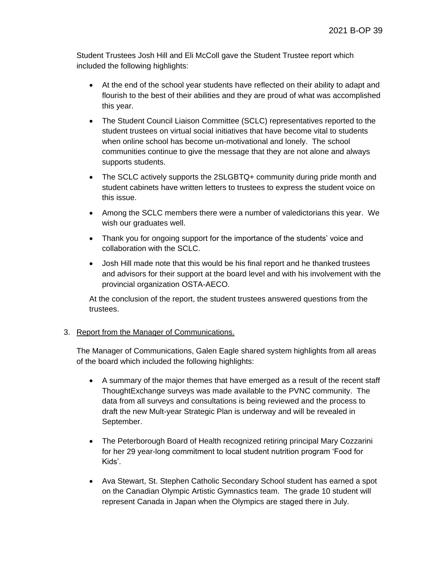Student Trustees Josh Hill and Eli McColl gave the Student Trustee report which included the following highlights:

- At the end of the school year students have reflected on their ability to adapt and flourish to the best of their abilities and they are proud of what was accomplished this year.
- The Student Council Liaison Committee (SCLC) representatives reported to the student trustees on virtual social initiatives that have become vital to students when online school has become un-motivational and lonely. The school communities continue to give the message that they are not alone and always supports students.
- The SCLC actively supports the 2SLGBTQ+ community during pride month and student cabinets have written letters to trustees to express the student voice on this issue.
- Among the SCLC members there were a number of valedictorians this year. We wish our graduates well.
- Thank you for ongoing support for the importance of the students' voice and collaboration with the SCLC.
- Josh Hill made note that this would be his final report and he thanked trustees and advisors for their support at the board level and with his involvement with the provincial organization OSTA-AECO.

At the conclusion of the report, the student trustees answered questions from the trustees.

## 3. Report from the Manager of Communications.

The Manager of Communications, Galen Eagle shared system highlights from all areas of the board which included the following highlights:

- A summary of the major themes that have emerged as a result of the recent staff ThoughtExchange surveys was made available to the PVNC community. The data from all surveys and consultations is being reviewed and the process to draft the new Mult-year Strategic Plan is underway and will be revealed in September.
- The Peterborough Board of Health recognized retiring principal Mary Cozzarini for her 29 year-long commitment to local student nutrition program 'Food for Kids'.
- Ava Stewart, St. Stephen Catholic Secondary School student has earned a spot on the Canadian Olympic Artistic Gymnastics team. The grade 10 student will represent Canada in Japan when the Olympics are staged there in July.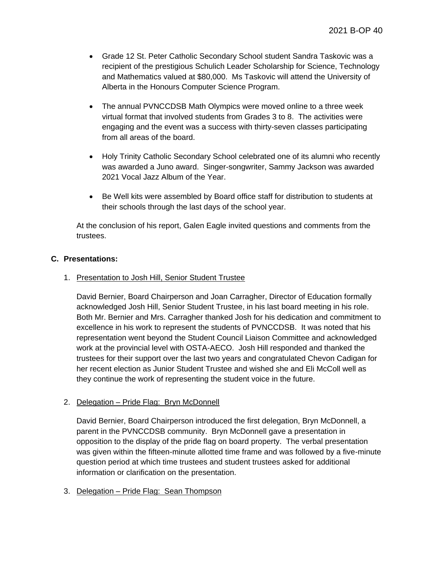- Grade 12 St. Peter Catholic Secondary School student Sandra Taskovic was a recipient of the prestigious Schulich Leader Scholarship for Science, Technology and Mathematics valued at \$80,000. Ms Taskovic will attend the University of Alberta in the Honours Computer Science Program.
- The annual PVNCCDSB Math Olympics were moved online to a three week virtual format that involved students from Grades 3 to 8. The activities were engaging and the event was a success with thirty-seven classes participating from all areas of the board.
- Holy Trinity Catholic Secondary School celebrated one of its alumni who recently was awarded a Juno award. Singer-songwriter, Sammy Jackson was awarded 2021 Vocal Jazz Album of the Year.
- Be Well kits were assembled by Board office staff for distribution to students at their schools through the last days of the school year.

At the conclusion of his report, Galen Eagle invited questions and comments from the trustees.

#### **C. Presentations:**

#### 1. Presentation to Josh Hill, Senior Student Trustee

David Bernier, Board Chairperson and Joan Carragher, Director of Education formally acknowledged Josh Hill, Senior Student Trustee, in his last board meeting in his role. Both Mr. Bernier and Mrs. Carragher thanked Josh for his dedication and commitment to excellence in his work to represent the students of PVNCCDSB. It was noted that his representation went beyond the Student Council Liaison Committee and acknowledged work at the provincial level with OSTA-AECO. Josh Hill responded and thanked the trustees for their support over the last two years and congratulated Chevon Cadigan for her recent election as Junior Student Trustee and wished she and Eli McColl well as they continue the work of representing the student voice in the future.

#### 2. Delegation – Pride Flag: Bryn McDonnell

David Bernier, Board Chairperson introduced the first delegation, Bryn McDonnell, a parent in the PVNCCDSB community. Bryn McDonnell gave a presentation in opposition to the display of the pride flag on board property. The verbal presentation was given within the fifteen-minute allotted time frame and was followed by a five-minute question period at which time trustees and student trustees asked for additional information or clarification on the presentation.

#### 3. Delegation – Pride Flag: Sean Thompson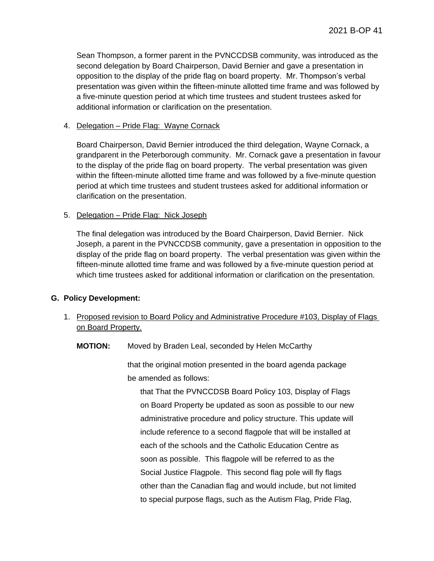Sean Thompson, a former parent in the PVNCCDSB community, was introduced as the second delegation by Board Chairperson, David Bernier and gave a presentation in opposition to the display of the pride flag on board property. Mr. Thompson's verbal presentation was given within the fifteen-minute allotted time frame and was followed by a five-minute question period at which time trustees and student trustees asked for additional information or clarification on the presentation.

#### 4. Delegation – Pride Flag: Wayne Cornack

Board Chairperson, David Bernier introduced the third delegation, Wayne Cornack, a grandparent in the Peterborough community. Mr. Cornack gave a presentation in favour to the display of the pride flag on board property. The verbal presentation was given within the fifteen-minute allotted time frame and was followed by a five-minute question period at which time trustees and student trustees asked for additional information or clarification on the presentation.

#### 5. Delegation – Pride Flag: Nick Joseph

The final delegation was introduced by the Board Chairperson, David Bernier. Nick Joseph, a parent in the PVNCCDSB community, gave a presentation in opposition to the display of the pride flag on board property. The verbal presentation was given within the fifteen-minute allotted time frame and was followed by a five-minute question period at which time trustees asked for additional information or clarification on the presentation.

## **G. Policy Development:**

1. Proposed revision to Board Policy and Administrative Procedure #103, Display of Flags on Board Property.

**MOTION:** Moved by Braden Leal, seconded by Helen McCarthy

that the original motion presented in the board agenda package be amended as follows:

that That the PVNCCDSB Board Policy 103, Display of Flags on Board Property be updated as soon as possible to our new administrative procedure and policy structure. This update will include reference to a second flagpole that will be installed at each of the schools and the Catholic Education Centre as soon as possible. This flagpole will be referred to as the Social Justice Flagpole. This second flag pole will fly flags other than the Canadian flag and would include, but not limited to special purpose flags, such as the Autism Flag, Pride Flag,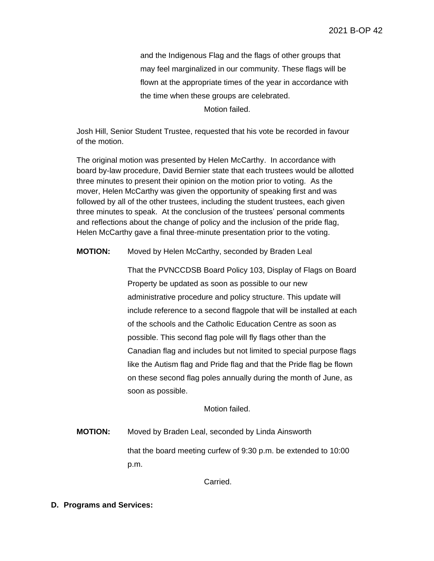and the Indigenous Flag and the flags of other groups that may feel marginalized in our community. These flags will be flown at the appropriate times of the year in accordance with the time when these groups are celebrated. Motion failed.

Josh Hill, Senior Student Trustee, requested that his vote be recorded in favour of the motion.

The original motion was presented by Helen McCarthy. In accordance with board by-law procedure, David Bernier state that each trustees would be allotted three minutes to present their opinion on the motion prior to voting. As the mover, Helen McCarthy was given the opportunity of speaking first and was followed by all of the other trustees, including the student trustees, each given three minutes to speak. At the conclusion of the trustees' personal comments and reflections about the change of policy and the inclusion of the pride flag, Helen McCarthy gave a final three-minute presentation prior to the voting.

#### **MOTION:** Moved by Helen McCarthy, seconded by Braden Leal

That the PVNCCDSB Board Policy 103, Display of Flags on Board Property be updated as soon as possible to our new administrative procedure and policy structure. This update will include reference to a second flagpole that will be installed at each of the schools and the Catholic Education Centre as soon as possible. This second flag pole will fly flags other than the Canadian flag and includes but not limited to special purpose flags like the Autism flag and Pride flag and that the Pride flag be flown on these second flag poles annually during the month of June, as soon as possible.

#### Motion failed.

**MOTION:** Moved by Braden Leal, seconded by Linda Ainsworth that the board meeting curfew of 9:30 p.m. be extended to 10:00 p.m.

Carried.

#### **D. Programs and Services:**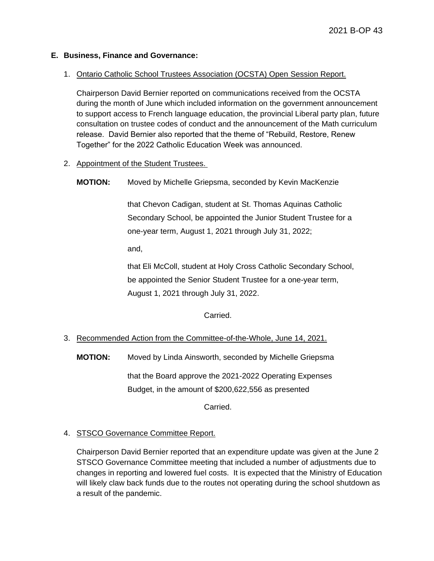## **E. Business, Finance and Governance:**

## 1. Ontario Catholic School Trustees Association (OCSTA) Open Session Report.

Chairperson David Bernier reported on communications received from the OCSTA during the month of June which included information on the government announcement to support access to French language education, the provincial Liberal party plan, future consultation on trustee codes of conduct and the announcement of the Math curriculum release. David Bernier also reported that the theme of "Rebuild, Restore, Renew Together" for the 2022 Catholic Education Week was announced.

- 2. Appointment of the Student Trustees.
	- **MOTION:** Moved by Michelle Griepsma, seconded by Kevin MacKenzie

that Chevon Cadigan, student at St. Thomas Aquinas Catholic Secondary School, be appointed the Junior Student Trustee for a one-year term, August 1, 2021 through July 31, 2022;

and,

that Eli McColl, student at Holy Cross Catholic Secondary School, be appointed the Senior Student Trustee for a one-year term, August 1, 2021 through July 31, 2022.

## Carried.

## 3. Recommended Action from the Committee-of-the-Whole, June 14, 2021.

**MOTION:** Moved by Linda Ainsworth, seconded by Michelle Griepsma

that the Board approve the 2021-2022 Operating Expenses Budget, in the amount of \$200,622,556 as presented

Carried.

## 4. STSCO Governance Committee Report.

Chairperson David Bernier reported that an expenditure update was given at the June 2 STSCO Governance Committee meeting that included a number of adjustments due to changes in reporting and lowered fuel costs. It is expected that the Ministry of Education will likely claw back funds due to the routes not operating during the school shutdown as a result of the pandemic.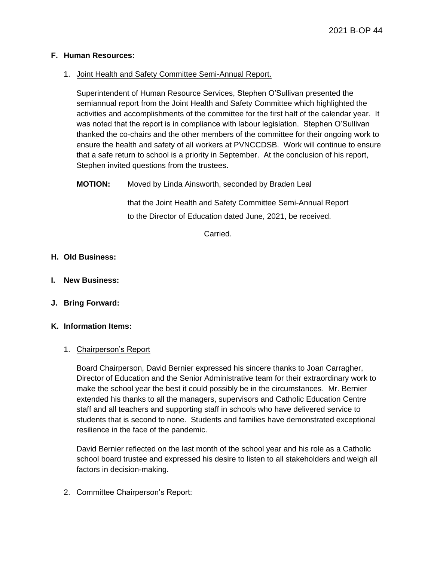#### **F. Human Resources:**

#### 1. Joint Health and Safety Committee Semi-Annual Report.

Superintendent of Human Resource Services, Stephen O'Sullivan presented the semiannual report from the Joint Health and Safety Committee which highlighted the activities and accomplishments of the committee for the first half of the calendar year. It was noted that the report is in compliance with labour legislation. Stephen O'Sullivan thanked the co-chairs and the other members of the committee for their ongoing work to ensure the health and safety of all workers at PVNCCDSB. Work will continue to ensure that a safe return to school is a priority in September. At the conclusion of his report, Stephen invited questions from the trustees.

## **MOTION:** Moved by Linda Ainsworth, seconded by Braden Leal

that the Joint Health and Safety Committee Semi-Annual Report to the Director of Education dated June, 2021, be received.

Carried.

## **H. Old Business:**

- **I. New Business:**
- **J. Bring Forward:**

#### **K. Information Items:**

#### 1. Chairperson's Report

Board Chairperson, David Bernier expressed his sincere thanks to Joan Carragher, Director of Education and the Senior Administrative team for their extraordinary work to make the school year the best it could possibly be in the circumstances. Mr. Bernier extended his thanks to all the managers, supervisors and Catholic Education Centre staff and all teachers and supporting staff in schools who have delivered service to students that is second to none. Students and families have demonstrated exceptional resilience in the face of the pandemic.

David Bernier reflected on the last month of the school year and his role as a Catholic school board trustee and expressed his desire to listen to all stakeholders and weigh all factors in decision-making.

2. Committee Chairperson's Report: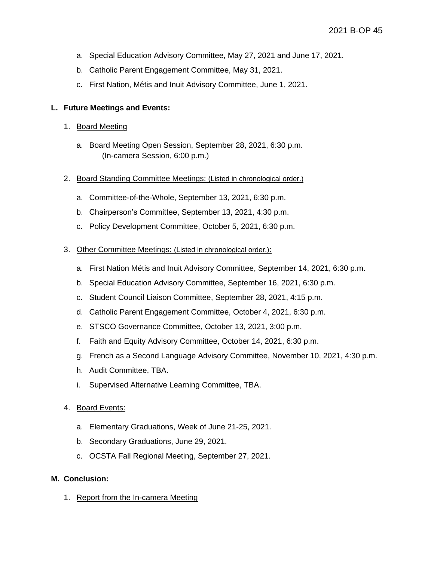- a. Special Education Advisory Committee, May 27, 2021 and June 17, 2021.
- b. Catholic Parent Engagement Committee, May 31, 2021.
- c. First Nation, Métis and Inuit Advisory Committee, June 1, 2021.

## **L. Future Meetings and Events:**

- 1. Board Meeting
	- a. Board Meeting Open Session, September 28, 2021, 6:30 p.m. (In-camera Session, 6:00 p.m.)
- 2. Board Standing Committee Meetings: (Listed in chronological order.)
	- a. Committee-of-the-Whole, September 13, 2021, 6:30 p.m.
	- b. Chairperson's Committee, September 13, 2021, 4:30 p.m.
	- c. Policy Development Committee, October 5, 2021, 6:30 p.m.
- 3. Other Committee Meetings: (Listed in chronological order.):
	- a. First Nation Métis and Inuit Advisory Committee, September 14, 2021, 6:30 p.m.
	- b. Special Education Advisory Committee, September 16, 2021, 6:30 p.m.
	- c. Student Council Liaison Committee, September 28, 2021, 4:15 p.m.
	- d. Catholic Parent Engagement Committee, October 4, 2021, 6:30 p.m.
	- e. STSCO Governance Committee, October 13, 2021, 3:00 p.m.
	- f. Faith and Equity Advisory Committee, October 14, 2021, 6:30 p.m.
	- g. French as a Second Language Advisory Committee, November 10, 2021, 4:30 p.m.
	- h. Audit Committee, TBA.
	- i. Supervised Alternative Learning Committee, TBA.
- 4. Board Events:
	- a. Elementary Graduations, Week of June 21-25, 2021.
	- b. Secondary Graduations, June 29, 2021.
	- c. OCSTA Fall Regional Meeting, September 27, 2021.

#### **M. Conclusion:**

1. Report from the In-camera Meeting